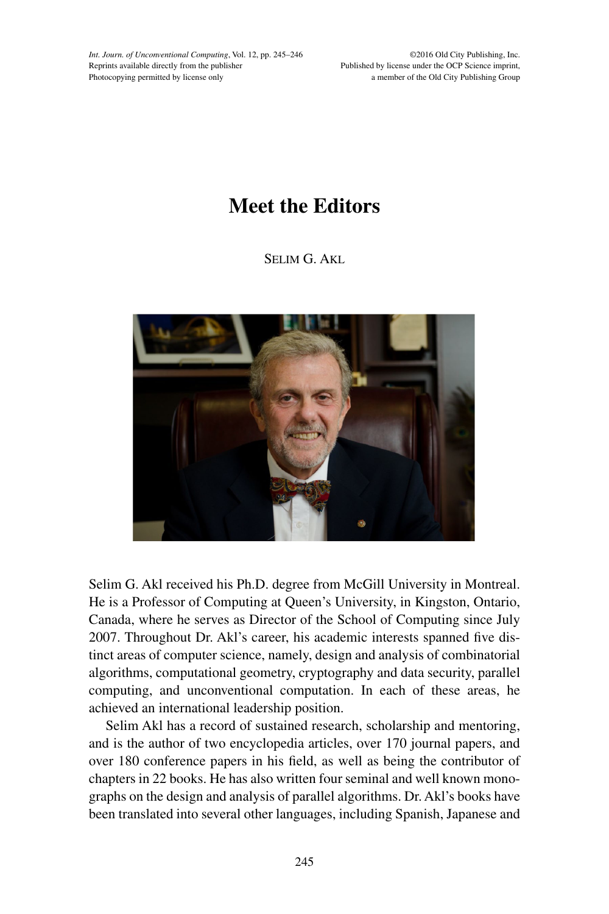*Int. Journ. of Unconventional Computing*, Vol. 12, pp. 245–246 Reprints available directly from the publisher Photocopying permitted by license only

©2016 Old City Publishing, Inc. Published by license under the OCP Science imprint, a member of the Old City Publishing Group

## **Meet the Editors**

SELIM G. AKL



Selim G. Akl received his Ph.D. degree from McGill University in Montreal. He is a Professor of Computing at Queen's University, in Kingston, Ontario, Canada, where he serves as Director of the School of Computing since July 2007. Throughout Dr. Akl's career, his academic interests spanned five distinct areas of computer science, namely, design and analysis of combinatorial algorithms, computational geometry, cryptography and data security, parallel computing, and unconventional computation. In each of these areas, he achieved an international leadership position.

Selim Akl has a record of sustained research, scholarship and mentoring, and is the author of two encyclopedia articles, over 170 journal papers, and over 180 conference papers in his field, as well as being the contributor of chapters in 22 books. He has also written four seminal and well known monographs on the design and analysis of parallel algorithms. Dr. Akl's books have been translated into several other languages, including Spanish, Japanese and